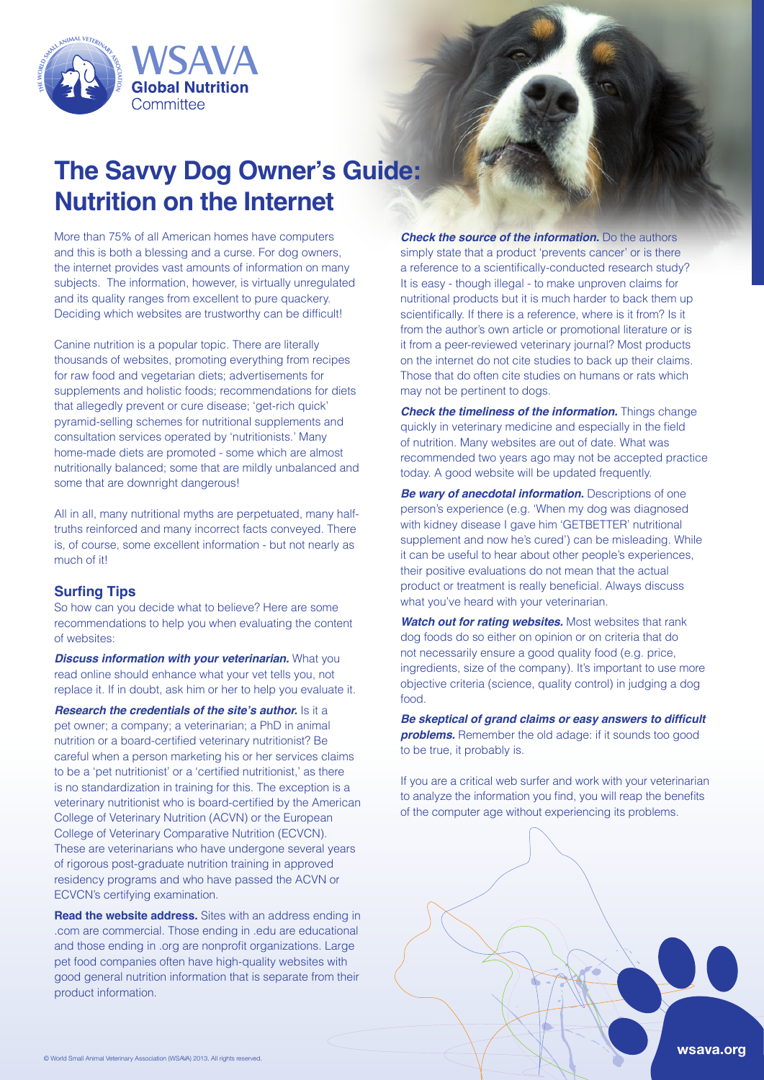

# **The Savvy Dog Owner's Guide: Nutrition on the Internet**

More than 75% of all American homes have computers and this is both a blessing and a curse. For dog owners, the internet provides vast amounts of information on many subjects. The information, however, is virtually unregulated and its quality ranges from excellent to pure quackery. Deciding which websites are trustworthy can be difficult!

Canine nutrition is a popular topic. There are literally thousands of websites, promoting everything from recipes for raw food and vegetarian diets; advertisements for supplements and holistic foods; recommendations for diets that allegedly prevent or cure disease; 'get-rich quick' pyramid-selling schemes for nutritional supplements and consultation services operated by 'nutritionists.' Many home-made diets are promoted - some which are almost nutritionally balanced; some that are mildly unbalanced and some that are downright dangerous!

truths reinforced and many incorrect facts conveyed. There All in all, many nutritional myths are perpetuated, many halfis, of course, some excellent information - but not nearly as much of it!

# **Surfing Tips**

So how can you decide what to believe? Here are some recommendations to help you when evaluating the content of websites:

**Discuss information with your veterinarian.** What you read online should enhance what your vet tells you, not replace it. If in doubt, ask him or her to help you evaluate it.

**Research the credentials of the site's author.** Is it a pet owner; a company; a veterinarian; a PhD in animal nutrition or a board-certified veterinary nutritionist? Be careful when a person marketing his or her services claims to be a 'pet nutritionist' or a 'certified nutritionist,' as there is no standardization in training for this. The exception is a veterinary nutritionist who is board-certified by the American College of Veterinary Nutrition (ACVN) or the European College of Veterinary Comparative Nutrition (ECVCN). These are veterinarians who have undergone several years of rigorous post-graduate nutrition training in approved residency programs and who have passed the ACVN or ECVCN's certifying examination.

**Read the website address.** Sites with an address ending in .com are commercial. Those ending in .edu are educational and those ending in .org are nonprofit organizations. Large pet food companies often have high-quality websites with good general nutrition information that is separate from their product information.

**Check the source of the information.** Do the authors simply state that a product 'prevents cancer' or is there a reference to a scientifically-conducted research study? It is easy - though illegal - to make unproven claims for nutritional products but it is much harder to back them up scientifically. If there is a reference, where is it from? Is it from the author's own article or promotional literature or is it from a peer-reviewed veterinary journal? Most products on the internet do not cite studies to back up their claims. Those that do often cite studies on humans or rats which may not be pertinent to dogs.

*Check the timeliness of the information. Things change* quickly in veterinary medicine and especially in the field of nutrition. Many websites are out of date. What was recommended two years ago may not be accepted practice today. A good website will be updated frequently.

**Be wary of anecdotal information.** Descriptions of one person's experience (e.g. 'When my dog was diagnosed with kidney disease I gave him 'GETBETTER' nutritional supplement and now he's cured') can be misleading. While it can be useful to hear about other people's experiences, their positive evaluations do not mean that the actual product or treatment is really beneficial. Always discuss what you've heard with your veterinarian.

*Watch out for rating websites. Most websites that rank* dog foods do so either on opinion or on criteria that do not necessarily ensure a good quality food (e.g. price, ingredients, size of the company). It's important to use more objective criteria (science, quality control) in judging a dog .food

 **Be skeptical of grand claims or easy answers to difficult problems.** Remember the old adage: if it sounds too good to be true, it probably is.

If you are a critical web surfer and work with your veterinarian to analyze the information you find, you will reap the benefits of the computer age without experiencing its problems.